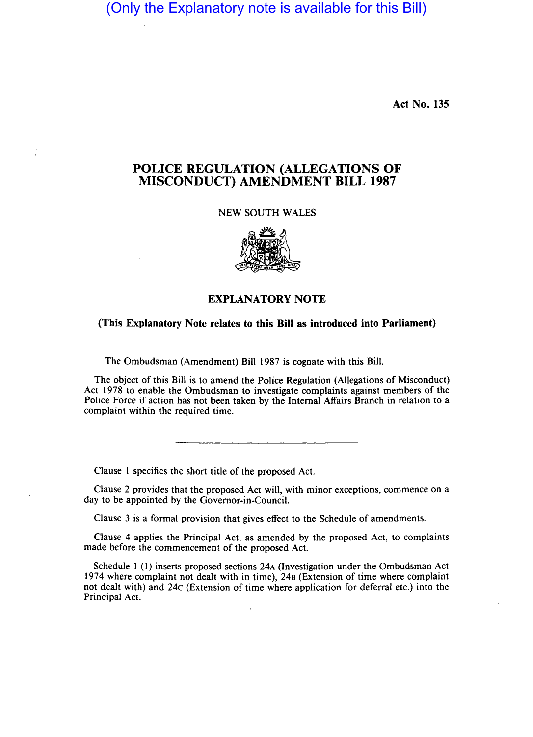(Only the Explanatory note is available for this Bill)

Act No. 135

## POLICE REGULATION (ALLEGATIONS OF MISCONDUCT) AMENDMENT BILL 1987

NEW SOUTH WALES



## EXPLANATORY NOTE

## (This Explanatory Note relates to this Bill as introduced into Parliament)

The Ombudsman (Amendment) Bill 1987 is cognate with this Bill.

The object of this Bill is to amend the Police Regulation (Allegations of Misconduct) Act 1978 to enable the Ombudsman to investigate complaints against members of the Police Force if action has not been taken by the Internal Affairs Branch in relation to a complaint within the required time.

Clause I specifies the short title of the proposed Act.

Clause 2 provides that the proposed Act will, with minor exceptions, commence on a day to be appointed by the Governor-in-Council.

Clause 3 is a formal provision that gives effect to the Schedule of amendments.

Clause 4 applies the Principal Act, as amended by the proposed Act, to complaints made before the commencement of the proposed Act.

Schedule I (I) inserts proposed sections 24A (Investigation under the Ombudsman Act 1974 where complaint not dealt with in time), 24B (Extension of time where complaint not dealt with) and 24c (Extension of time where application for deferral etc.) into the Principal Act.